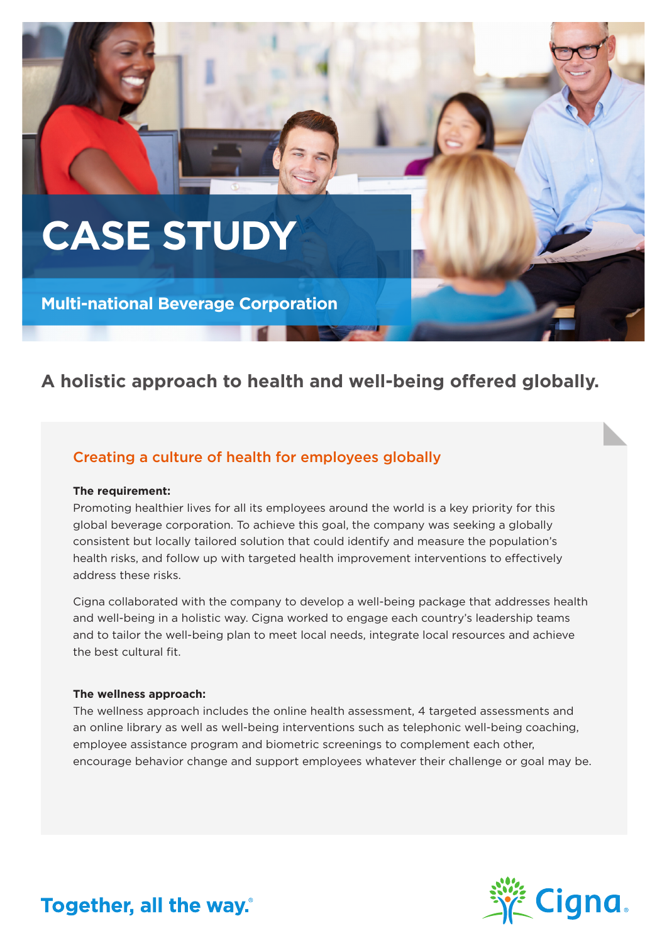# **CASE STUDY**

**Multi-national Beverage Corporation**

# **A holistic approach to health and well-being offered globally.**

## Creating a culture of health for employees globally

#### **The requirement:**

Promoting healthier lives for all its employees around the world is a key priority for this global beverage corporation. To achieve this goal, the company was seeking a globally consistent but locally tailored solution that could identify and measure the population's health risks, and follow up with targeted health improvement interventions to effectively address these risks.

Cigna collaborated with the company to develop a well-being package that addresses health and well-being in a holistic way. Cigna worked to engage each country's leadership teams and to tailor the well-being plan to meet local needs, integrate local resources and achieve the best cultural fit.

#### **The wellness approach:**

The wellness approach includes the online health assessment, 4 targeted assessments and an online library as well as well-being interventions such as telephonic well-being coaching, employee assistance program and biometric screenings to complement each other, encourage behavior change and support employees whatever their challenge or goal may be.



# Together, all the way.